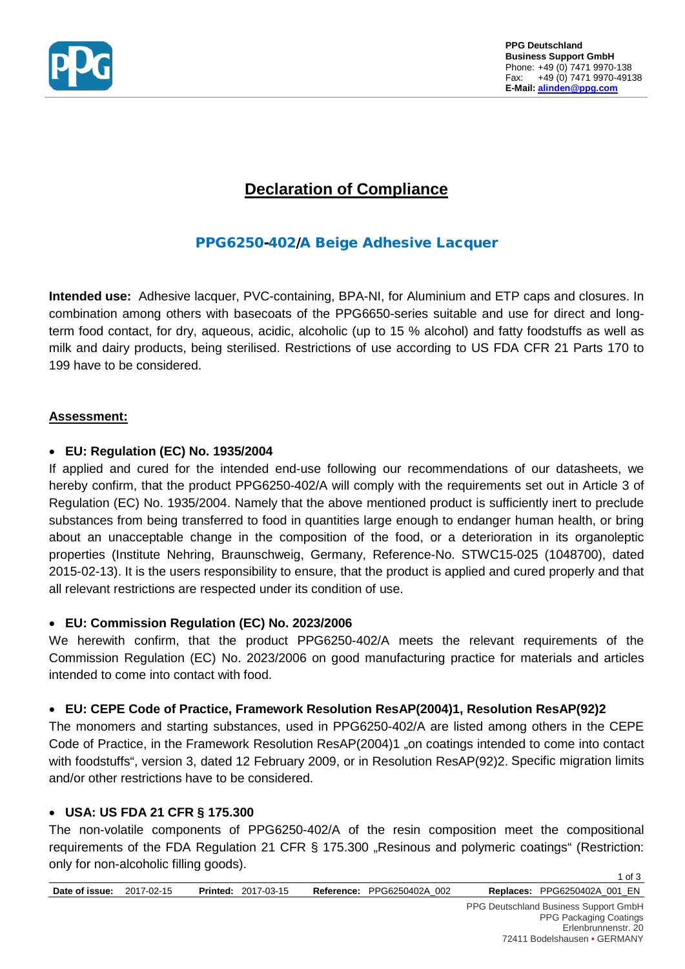

# **Declaration of Compliance**

# PPG6250-402/A Beige Adhesive Lacquer

**Intended use:** Adhesive lacquer, PVC-containing, BPA-NI, for Aluminium and ETP caps and closures. In combination among others with basecoats of the PPG6650-series suitable and use for direct and longterm food contact, for dry, aqueous, acidic, alcoholic (up to 15 % alcohol) and fatty foodstuffs as well as milk and dairy products, being sterilised. Restrictions of use according to US FDA CFR 21 Parts 170 to 199 have to be considered.

## **Assessment:**

## • **EU: Regulation (EC) No. 1935/2004**

If applied and cured for the intended end-use following our recommendations of our datasheets, we hereby confirm, that the product PPG6250-402/A will comply with the requirements set out in Article 3 of Regulation (EC) No. 1935/2004. Namely that the above mentioned product is sufficiently inert to preclude substances from being transferred to food in quantities large enough to endanger human health, or bring about an unacceptable change in the composition of the food, or a deterioration in its organoleptic properties (Institute Nehring, Braunschweig, Germany, Reference-No. STWC15-025 (1048700), dated 2015-02-13). It is the users responsibility to ensure, that the product is applied and cured properly and that all relevant restrictions are respected under its condition of use.

#### • **EU: Commission Regulation (EC) No. 2023/2006**

We herewith confirm, that the product PPG6250-402/A meets the relevant requirements of the Commission Regulation (EC) No. 2023/2006 on good manufacturing practice for materials and articles intended to come into contact with food.

# • **EU: CEPE Code of Practice, Framework Resolution ResAP(2004)1, Resolution ResAP(92)2**

The monomers and starting substances, used in PPG6250-402/A are listed among others in the CEPE Code of Practice, in the Framework Resolution ResAP(2004)1 "on coatings intended to come into contact with foodstuffs", version 3, dated 12 February 2009, or in Resolution ResAP(92)2. Specific migration limits and/or other restrictions have to be considered.

# • **USA: US FDA 21 CFR § 175.300**

The non-volatile components of PPG6250-402/A of the resin composition meet the compositional requirements of the FDA Regulation 21 CFR § 175.300 "Resinous and polymeric coatings" (Restriction: only for non-alcoholic filling goods).

1 of 3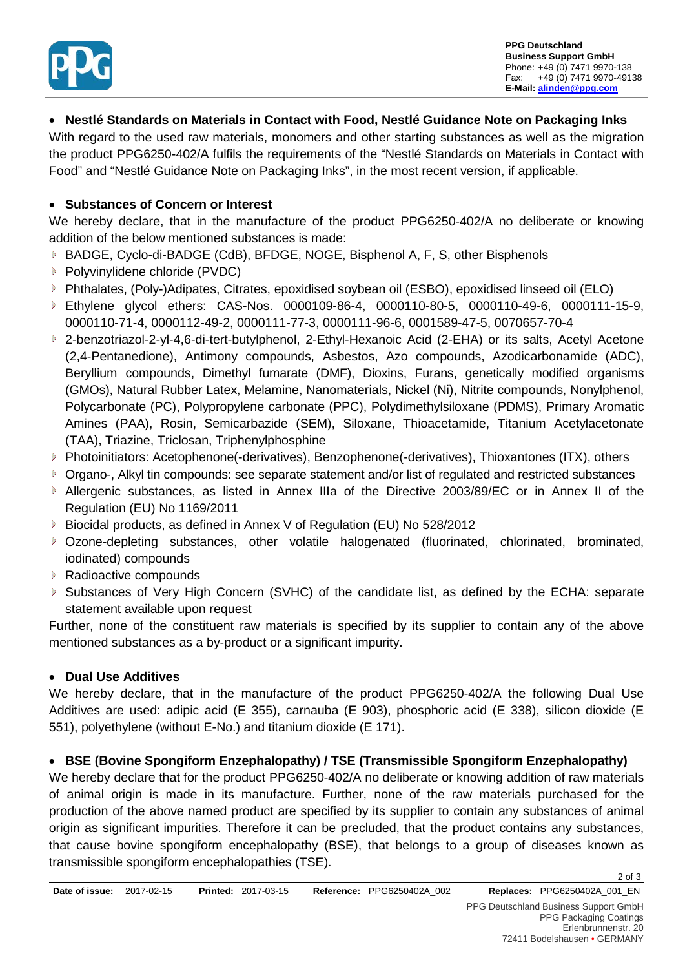

## • **Nestlé Standards on Materials in Contact with Food, Nestlé Guidance Note on Packaging Inks**

With regard to the used raw materials, monomers and other starting substances as well as the migration the product PPG6250-402/A fulfils the requirements of the "Nestlé Standards on Materials in Contact with Food" and "Nestlé Guidance Note on Packaging Inks", in the most recent version, if applicable.

#### • **Substances of Concern or Interest**

We hereby declare, that in the manufacture of the product PPG6250-402/A no deliberate or knowing addition of the below mentioned substances is made:

- BADGE, Cyclo-di-BADGE (CdB), BFDGE, NOGE, Bisphenol A, F, S, other Bisphenols
- $\triangleright$  Polyvinylidene chloride (PVDC)
- Phthalates, (Poly-)Adipates, Citrates, epoxidised soybean oil (ESBO), epoxidised linseed oil (ELO)
- Ethylene glycol ethers: CAS-Nos. 0000109-86-4, 0000110-80-5, 0000110-49-6, 0000111-15-9, 0000110-71-4, 0000112-49-2, 0000111-77-3, 0000111-96-6, 0001589-47-5, 0070657-70-4
- 2-benzotriazol-2-yl-4,6-di-tert-butylphenol, 2-Ethyl-Hexanoic Acid (2-EHA) or its salts, Acetyl Acetone (2,4-Pentanedione), Antimony compounds, Asbestos, Azo compounds, Azodicarbonamide (ADC), Beryllium compounds, Dimethyl fumarate (DMF), Dioxins, Furans, genetically modified organisms (GMOs), Natural Rubber Latex, Melamine, Nanomaterials, Nickel (Ni), Nitrite compounds, Nonylphenol, Polycarbonate (PC), Polypropylene carbonate (PPC), Polydimethylsiloxane (PDMS), Primary Aromatic Amines (PAA), Rosin, Semicarbazide (SEM), Siloxane, Thioacetamide, Titanium Acetylacetonate (TAA), Triazine, Triclosan, Triphenylphosphine
- Photoinitiators: Acetophenone(-derivatives), Benzophenone(-derivatives), Thioxantones (ITX), others
- Organo-, Alkyl tin compounds: see separate statement and/or list of regulated and restricted substances
- Allergenic substances, as listed in Annex IIIa of the Directive 2003/89/EC or in Annex II of the Regulation (EU) No 1169/2011
- ▶ Biocidal products, as defined in Annex V of Regulation (EU) No 528/2012
- Ozone-depleting substances, other volatile halogenated (fluorinated, chlorinated, brominated, iodinated) compounds
- ▶ Radioactive compounds
- Substances of Very High Concern (SVHC) of the candidate list, as defined by the ECHA: separate  $\triangleright$ statement available upon request

Further, none of the constituent raw materials is specified by its supplier to contain any of the above mentioned substances as a by-product or a significant impurity.

#### • **Dual Use Additives**

We hereby declare, that in the manufacture of the product PPG6250-402/A the following Dual Use Additives are used: adipic acid (E 355), carnauba (E 903), phosphoric acid (E 338), silicon dioxide (E 551), polyethylene (without E-No.) and titanium dioxide (E 171).

#### • **BSE (Bovine Spongiform Enzephalopathy) / TSE (Transmissible Spongiform Enzephalopathy)**

We hereby declare that for the product PPG6250-402/A no deliberate or knowing addition of raw materials of animal origin is made in its manufacture. Further, none of the raw materials purchased for the production of the above named product are specified by its supplier to contain any substances of animal origin as significant impurities. Therefore it can be precluded, that the product contains any substances, that cause bovine spongiform encephalopathy (BSE), that belongs to a group of diseases known as transmissible spongiform encephalopathies (TSE).

2 of 3